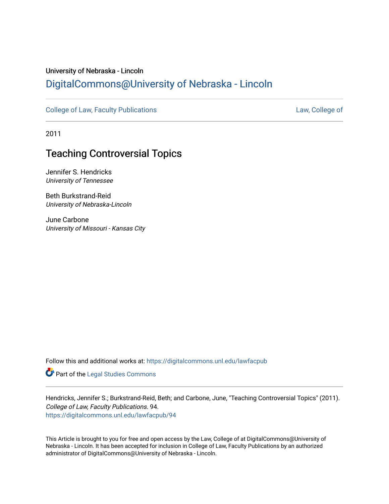## University of Nebraska - Lincoln [DigitalCommons@University of Nebraska - Lincoln](https://digitalcommons.unl.edu/)

[College of Law, Faculty Publications](https://digitalcommons.unl.edu/lawfacpub) [Law, College of](https://digitalcommons.unl.edu/law) Law, College of

2011

## Teaching Controversial Topics

Jennifer S. Hendricks University of Tennessee

Beth Burkstrand-Reid University of Nebraska-Lincoln

June Carbone University of Missouri - Kansas City

Follow this and additional works at: [https://digitalcommons.unl.edu/lawfacpub](https://digitalcommons.unl.edu/lawfacpub?utm_source=digitalcommons.unl.edu%2Flawfacpub%2F94&utm_medium=PDF&utm_campaign=PDFCoverPages) 

Part of the [Legal Studies Commons](http://network.bepress.com/hgg/discipline/366?utm_source=digitalcommons.unl.edu%2Flawfacpub%2F94&utm_medium=PDF&utm_campaign=PDFCoverPages) 

Hendricks, Jennifer S.; Burkstrand-Reid, Beth; and Carbone, June, "Teaching Controversial Topics" (2011). College of Law, Faculty Publications. 94. [https://digitalcommons.unl.edu/lawfacpub/94](https://digitalcommons.unl.edu/lawfacpub/94?utm_source=digitalcommons.unl.edu%2Flawfacpub%2F94&utm_medium=PDF&utm_campaign=PDFCoverPages)

This Article is brought to you for free and open access by the Law, College of at DigitalCommons@University of Nebraska - Lincoln. It has been accepted for inclusion in College of Law, Faculty Publications by an authorized administrator of DigitalCommons@University of Nebraska - Lincoln.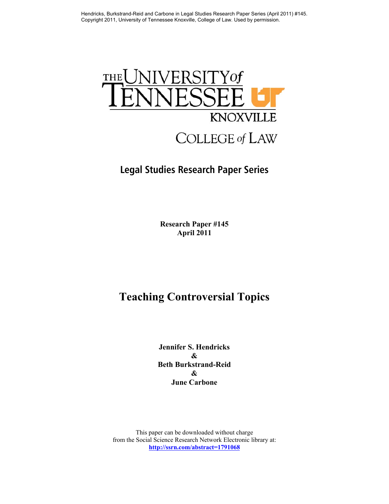

## **Legal Studies Research Paper Series**

**Research Paper #145 April 2011** 

# **Teaching Controversial Topics**

**Jennifer S. Hendricks & Beth Burkstrand-Reid & June Carbone** 

This paper can be downloaded without charge from the Social Science Research Network Electronic library at: **http://ssrn.com/abstract=1791068**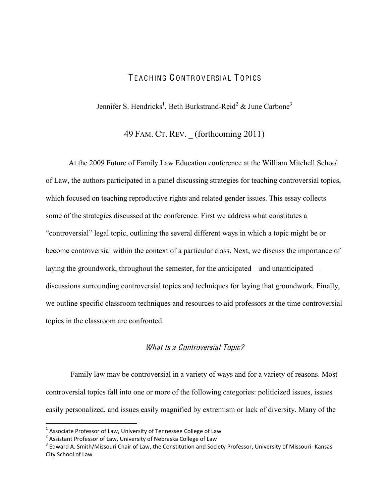## TFACHING CONTROVERSIAL TOPICS

Jennifer S. Hendricks<sup>1</sup>, Beth Burkstrand-Reid<sup>2</sup> & June Carbone<sup>3</sup>

49 FAM. CT. REV. \_ (forthcoming 2011)

 At the 2009 Future of Family Law Education conference at the William Mitchell School of Law, the authors participated in a panel discussing strategies for teaching controversial topics, which focused on teaching reproductive rights and related gender issues. This essay collects some of the strategies discussed at the conference. First we address what constitutes a "controversial" legal topic, outlining the several different ways in which a topic might be or become controversial within the context of a particular class. Next, we discuss the importance of laying the groundwork, throughout the semester, for the anticipated—and unanticipated discussions surrounding controversial topics and techniques for laying that groundwork. Finally, we outline specific classroom techniques and resources to aid professors at the time controversial topics in the classroom are confronted.

## What Is a Controversial Topic?

 Family law may be controversial in a variety of ways and for a variety of reasons. Most controversial topics fall into one or more of the following categories: politicized issues, issues easily personalized, and issues easily magnified by extremism or lack of diversity. Many of the

 $^1$  Associate Professor of Law, University of Tennessee College of Law

 $^2$  Assistant Professor of Law, University of Nebraska College of Law

 $^3$  Edward A. Smith/Missouri Chair of Law, the Constitution and Society Professor, University of Missouri- Kansas City School of Law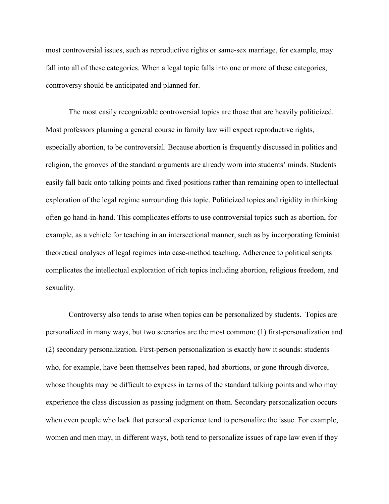most controversial issues, such as reproductive rights or same-sex marriage, for example, may fall into all of these categories. When a legal topic falls into one or more of these categories, controversy should be anticipated and planned for.

The most easily recognizable controversial topics are those that are heavily politicized. Most professors planning a general course in family law will expect reproductive rights, especially abortion, to be controversial. Because abortion is frequently discussed in politics and religion, the grooves of the standard arguments are already worn into students' minds. Students easily fall back onto talking points and fixed positions rather than remaining open to intellectual exploration of the legal regime surrounding this topic. Politicized topics and rigidity in thinking often go hand-in-hand. This complicates efforts to use controversial topics such as abortion, for example, as a vehicle for teaching in an intersectional manner, such as by incorporating feminist theoretical analyses of legal regimes into case-method teaching. Adherence to political scripts complicates the intellectual exploration of rich topics including abortion, religious freedom, and sexuality.

Controversy also tends to arise when topics can be personalized by students. Topics are personalized in many ways, but two scenarios are the most common: (1) first-personalization and (2) secondary personalization. First-person personalization is exactly how it sounds: students who, for example, have been themselves been raped, had abortions, or gone through divorce, whose thoughts may be difficult to express in terms of the standard talking points and who may experience the class discussion as passing judgment on them. Secondary personalization occurs when even people who lack that personal experience tend to personalize the issue. For example, women and men may, in different ways, both tend to personalize issues of rape law even if they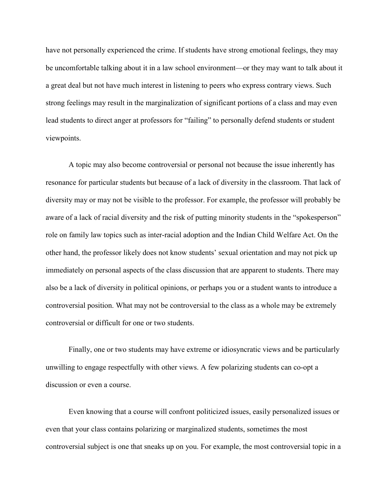have not personally experienced the crime. If students have strong emotional feelings, they may be uncomfortable talking about it in a law school environment—or they may want to talk about it a great deal but not have much interest in listening to peers who express contrary views. Such strong feelings may result in the marginalization of significant portions of a class and may even lead students to direct anger at professors for "failing" to personally defend students or student viewpoints.

A topic may also become controversial or personal not because the issue inherently has resonance for particular students but because of a lack of diversity in the classroom. That lack of diversity may or may not be visible to the professor. For example, the professor will probably be aware of a lack of racial diversity and the risk of putting minority students in the "spokesperson" role on family law topics such as inter-racial adoption and the Indian Child Welfare Act. On the other hand, the professor likely does not know students' sexual orientation and may not pick up immediately on personal aspects of the class discussion that are apparent to students. There may also be a lack of diversity in political opinions, or perhaps you or a student wants to introduce a controversial position. What may not be controversial to the class as a whole may be extremely controversial or difficult for one or two students.

Finally, one or two students may have extreme or idiosyncratic views and be particularly unwilling to engage respectfully with other views. A few polarizing students can co-opt a discussion or even a course.

Even knowing that a course will confront politicized issues, easily personalized issues or even that your class contains polarizing or marginalized students, sometimes the most controversial subject is one that sneaks up on you. For example, the most controversial topic in a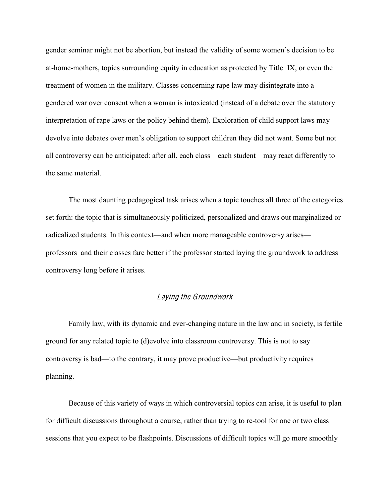gender seminar might not be abortion, but instead the validity of some women's decision to be at-home-mothers, topics surrounding equity in education as protected by Title IX, or even the treatment of women in the military. Classes concerning rape law may disintegrate into a gendered war over consent when a woman is intoxicated (instead of a debate over the statutory interpretation of rape laws or the policy behind them). Exploration of child support laws may devolve into debates over men's obligation to support children they did not want. Some but not all controversy can be anticipated: after all, each class—each student—may react differently to the same material.

The most daunting pedagogical task arises when a topic touches all three of the categories set forth: the topic that is simultaneously politicized, personalized and draws out marginalized or radicalized students. In this context—and when more manageable controversy arises professors and their classes fare better if the professor started laying the groundwork to address controversy long before it arises.

## Laying th<sup>e</sup> Groundwork

Family law, with its dynamic and ever-changing nature in the law and in society, is fertile ground for any related topic to (d)evolve into classroom controversy. This is not to say controversy is bad—to the contrary, it may prove productive—but productivity requires planning.

Because of this variety of ways in which controversial topics can arise, it is useful to plan for difficult discussions throughout a course, rather than trying to re-tool for one or two class sessions that you expect to be flashpoints. Discussions of difficult topics will go more smoothly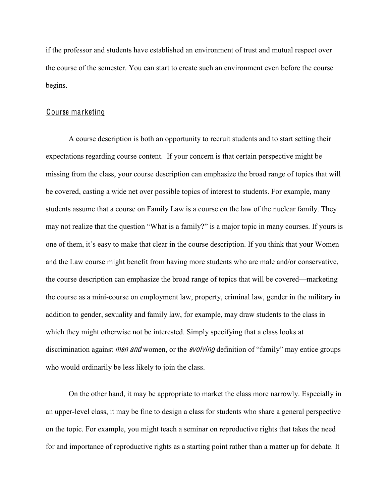if the professor and students have established an environment of trust and mutual respect over the course of the semester. You can start to create such an environment even before the course begins.

#### Course marketing

A course description is both an opportunity to recruit students and to start setting their expectations regarding course content. If your concern is that certain perspective might be missing from the class, your course description can emphasize the broad range of topics that will be covered, casting a wide net over possible topics of interest to students. For example, many students assume that a course on Family Law is a course on the law of the nuclear family. They may not realize that the question "What is a family?" is a major topic in many courses. If yours is one of them, it's easy to make that clear in the course description. If you think that your Women and the Law course might benefit from having more students who are male and/or conservative, the course description can emphasize the broad range of topics that will be covered—marketing the course as a mini-course on employment law, property, criminal law, gender in the military in addition to gender, sexuality and family law, for example, may draw students to the class in which they might otherwise not be interested. Simply specifying that a class looks at discrimination against *men and* women, or the *evolving* definition of "family" may entice groups who would ordinarily be less likely to join the class.

On the other hand, it may be appropriate to market the class more narrowly. Especially in an upper-level class, it may be fine to design a class for students who share a general perspective on the topic. For example, you might teach a seminar on reproductive rights that takes the need for and importance of reproductive rights as a starting point rather than a matter up for debate. It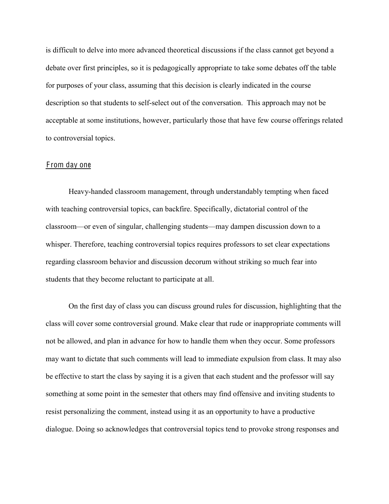is difficult to delve into more advanced theoretical discussions if the class cannot get beyond a debate over first principles, so it is pedagogically appropriate to take some debates off the table for purposes of your class, assuming that this decision is clearly indicated in the course description so that students to self-select out of the conversation. This approach may not be acceptable at some institutions, however, particularly those that have few course offerings related to controversial topics.

#### F rom day one

Heavy-handed classroom management, through understandably tempting when faced with teaching controversial topics, can backfire. Specifically, dictatorial control of the classroom—or even of singular, challenging students—may dampen discussion down to a whisper. Therefore, teaching controversial topics requires professors to set clear expectations regarding classroom behavior and discussion decorum without striking so much fear into students that they become reluctant to participate at all.

On the first day of class you can discuss ground rules for discussion, highlighting that the class will cover some controversial ground. Make clear that rude or inappropriate comments will not be allowed, and plan in advance for how to handle them when they occur. Some professors may want to dictate that such comments will lead to immediate expulsion from class. It may also be effective to start the class by saying it is a given that each student and the professor will say something at some point in the semester that others may find offensive and inviting students to resist personalizing the comment, instead using it as an opportunity to have a productive dialogue. Doing so acknowledges that controversial topics tend to provoke strong responses and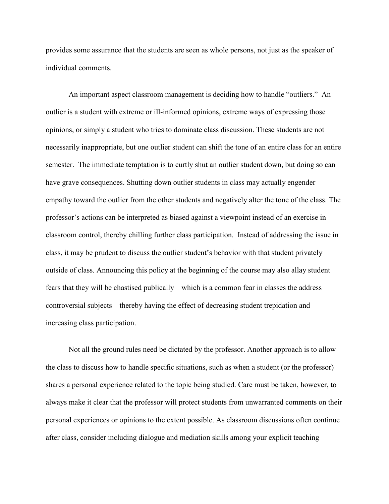provides some assurance that the students are seen as whole persons, not just as the speaker of individual comments.

An important aspect classroom management is deciding how to handle "outliers." An outlier is a student with extreme or ill-informed opinions, extreme ways of expressing those opinions, or simply a student who tries to dominate class discussion. These students are not necessarily inappropriate, but one outlier student can shift the tone of an entire class for an entire semester. The immediate temptation is to curtly shut an outlier student down, but doing so can have grave consequences. Shutting down outlier students in class may actually engender empathy toward the outlier from the other students and negatively alter the tone of the class. The professor's actions can be interpreted as biased against a viewpoint instead of an exercise in classroom control, thereby chilling further class participation. Instead of addressing the issue in class, it may be prudent to discuss the outlier student's behavior with that student privately outside of class. Announcing this policy at the beginning of the course may also allay student fears that they will be chastised publically—which is a common fear in classes the address controversial subjects—thereby having the effect of decreasing student trepidation and increasing class participation.

Not all the ground rules need be dictated by the professor. Another approach is to allow the class to discuss how to handle specific situations, such as when a student (or the professor) shares a personal experience related to the topic being studied. Care must be taken, however, to always make it clear that the professor will protect students from unwarranted comments on their personal experiences or opinions to the extent possible. As classroom discussions often continue after class, consider including dialogue and mediation skills among your explicit teaching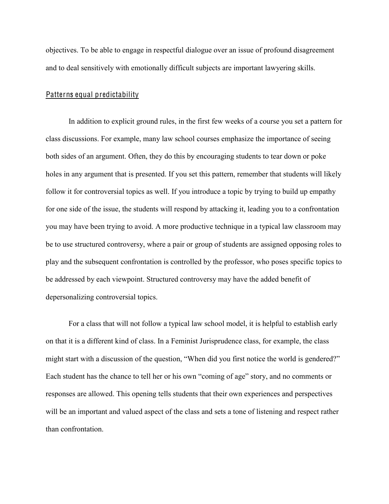objectives. To be able to engage in respectful dialogue over an issue of profound disagreement and to deal sensitively with emotionally difficult subjects are important lawyering skills.

#### Patterns equal predictability

In addition to explicit ground rules, in the first few weeks of a course you set a pattern for class discussions. For example, many law school courses emphasize the importance of seeing both sides of an argument. Often, they do this by encouraging students to tear down or poke holes in any argument that is presented. If you set this pattern, remember that students will likely follow it for controversial topics as well. If you introduce a topic by trying to build up empathy for one side of the issue, the students will respond by attacking it, leading you to a confrontation you may have been trying to avoid. A more productive technique in a typical law classroom may be to use structured controversy, where a pair or group of students are assigned opposing roles to play and the subsequent confrontation is controlled by the professor, who poses specific topics to be addressed by each viewpoint. Structured controversy may have the added benefit of depersonalizing controversial topics.

For a class that will not follow a typical law school model, it is helpful to establish early on that it is a different kind of class. In a Feminist Jurisprudence class, for example, the class might start with a discussion of the question, "When did you first notice the world is gendered?" Each student has the chance to tell her or his own "coming of age" story, and no comments or responses are allowed. This opening tells students that their own experiences and perspectives will be an important and valued aspect of the class and sets a tone of listening and respect rather than confrontation.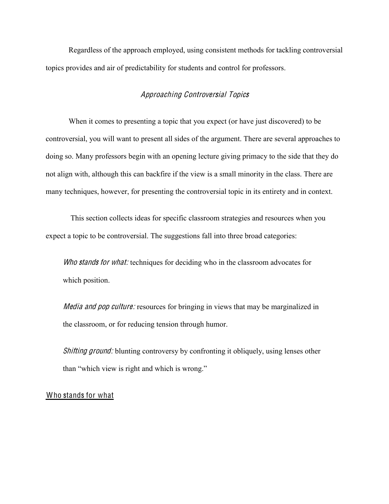Regardless of the approach employed, using consistent methods for tackling controversial topics provides and air of predictability for students and control for professors.

## Approaching Controversial Topic<sup>s</sup>

When it comes to presenting a topic that you expect (or have just discovered) to be controversial, you will want to present all sides of the argument. There are several approaches to doing so. Many professors begin with an opening lecture giving primacy to the side that they do not align with, although this can backfire if the view is a small minority in the class. There are many techniques, however, for presenting the controversial topic in its entirety and in context.

This section collects ideas for specific classroom strategies and resources when you expect a topic to be controversial. The suggestions fall into three broad categories:

Who stands for what: techniques for deciding who in the classroom advocates for which position.

*Media and pop culture:* resources for bringing in views that may be marginalized in the classroom, or for reducing tension through humor.

*Shifting ground:* blunting controversy by confronting it obliquely, using lenses other than "which view is right and which is wrong."

### Who stands for what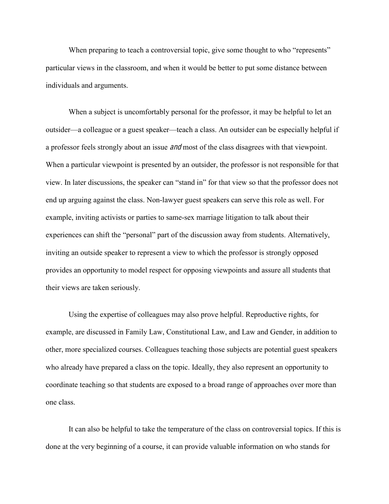When preparing to teach a controversial topic, give some thought to who "represents" particular views in the classroom, and when it would be better to put some distance between individuals and arguments.

When a subject is uncomfortably personal for the professor, it may be helpful to let an outsider—a colleague or a guest speaker—teach a class. An outsider can be especially helpful if a professor feels strongly about an issue *and* most of the class disagrees with that viewpoint. When a particular viewpoint is presented by an outsider, the professor is not responsible for that view. In later discussions, the speaker can "stand in" for that view so that the professor does not end up arguing against the class. Non-lawyer guest speakers can serve this role as well. For example, inviting activists or parties to same-sex marriage litigation to talk about their experiences can shift the "personal" part of the discussion away from students. Alternatively, inviting an outside speaker to represent a view to which the professor is strongly opposed provides an opportunity to model respect for opposing viewpoints and assure all students that their views are taken seriously.

Using the expertise of colleagues may also prove helpful. Reproductive rights, for example, are discussed in Family Law, Constitutional Law, and Law and Gender, in addition to other, more specialized courses. Colleagues teaching those subjects are potential guest speakers who already have prepared a class on the topic. Ideally, they also represent an opportunity to coordinate teaching so that students are exposed to a broad range of approaches over more than one class.

It can also be helpful to take the temperature of the class on controversial topics. If this is done at the very beginning of a course, it can provide valuable information on who stands for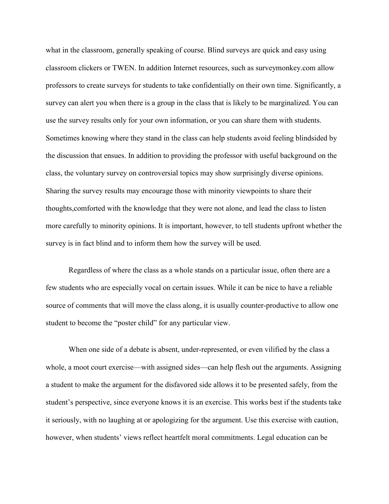what in the classroom, generally speaking of course. Blind surveys are quick and easy using classroom clickers or TWEN. In addition Internet resources, such as surveymonkey.com allow professors to create surveys for students to take confidentially on their own time. Significantly, a survey can alert you when there is a group in the class that is likely to be marginalized. You can use the survey results only for your own information, or you can share them with students. Sometimes knowing where they stand in the class can help students avoid feeling blindsided by the discussion that ensues. In addition to providing the professor with useful background on the class, the voluntary survey on controversial topics may show surprisingly diverse opinions. Sharing the survey results may encourage those with minority viewpoints to share their thoughts,comforted with the knowledge that they were not alone, and lead the class to listen more carefully to minority opinions. It is important, however, to tell students upfront whether the survey is in fact blind and to inform them how the survey will be used.

Regardless of where the class as a whole stands on a particular issue, often there are a few students who are especially vocal on certain issues. While it can be nice to have a reliable source of comments that will move the class along, it is usually counter-productive to allow one student to become the "poster child" for any particular view.

When one side of a debate is absent, under-represented, or even vilified by the class a whole, a moot court exercise—with assigned sides—can help flesh out the arguments. Assigning a student to make the argument for the disfavored side allows it to be presented safely, from the student's perspective, since everyone knows it is an exercise. This works best if the students take it seriously, with no laughing at or apologizing for the argument. Use this exercise with caution, however, when students' views reflect heartfelt moral commitments. Legal education can be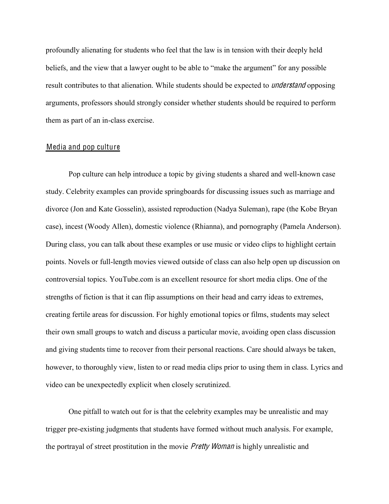profoundly alienating for students who feel that the law is in tension with their deeply held beliefs, and the view that a lawyer ought to be able to "make the argument" for any possible result contributes to that alienation. While students should be expected to *understand* opposing arguments, professors should strongly consider whether students should be required to perform them as part of an in-class exercise.

#### Media and pop culture

Pop culture can help introduce a topic by giving students a shared and well-known case study. Celebrity examples can provide springboards for discussing issues such as marriage and divorce (Jon and Kate Gosselin), assisted reproduction (Nadya Suleman), rape (the Kobe Bryan case), incest (Woody Allen), domestic violence (Rhianna), and pornography (Pamela Anderson). During class, you can talk about these examples or use music or video clips to highlight certain points. Novels or full-length movies viewed outside of class can also help open up discussion on controversial topics. YouTube.com is an excellent resource for short media clips. One of the strengths of fiction is that it can flip assumptions on their head and carry ideas to extremes, creating fertile areas for discussion. For highly emotional topics or films, students may select their own small groups to watch and discuss a particular movie, avoiding open class discussion and giving students time to recover from their personal reactions. Care should always be taken, however, to thoroughly view, listen to or read media clips prior to using them in class. Lyrics and video can be unexpectedly explicit when closely scrutinized.

One pitfall to watch out for is that the celebrity examples may be unrealistic and may trigger pre-existing judgments that students have formed without much analysis. For example, the portrayal of street prostitution in the movie *Pretty Woman* is highly unrealistic and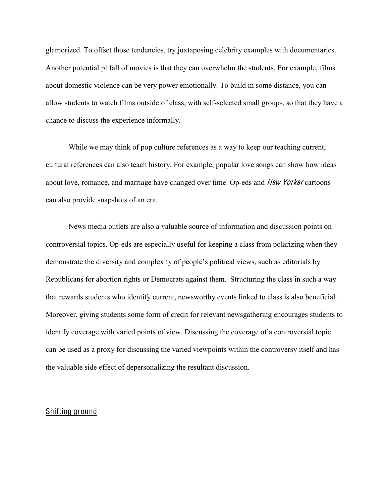glamorized. To offset those tendencies, try juxtaposing celebrity examples with documentaries. Another potential pitfall of movies is that they can overwhelm the students. For example, films about domestic violence can be very power emotionally. To build in some distance, you can allow students to watch films outside of class, with self-selected small groups, so that they have a chance to discuss the experience informally.

While we may think of pop culture references as a way to keep our teaching current, cultural references can also teach history. For example, popular love songs can show how ideas about love, romance, and marriage have changed over time. Op-eds and Ne<sup>w</sup> Yorke<sup>r</sup> cartoons can also provide snapshots of an era.

News media outlets are also a valuable source of information and discussion points on controversial topics. Op-eds are especially useful for keeping a class from polarizing when they demonstrate the diversity and complexity of people's political views, such as editorials by Republicans for abortion rights or Democrats against them. Structuring the class in such a way that rewards students who identify current, newsworthy events linked to class is also beneficial. Moreover, giving students some form of credit for relevant newsgathering encourages students to identify coverage with varied points of view. Discussing the coverage of a controversial topic can be used as a proxy for discussing the varied viewpoints within the controversy itself and has the valuable side effect of depersonalizing the resultant discussion.

### Shifting ground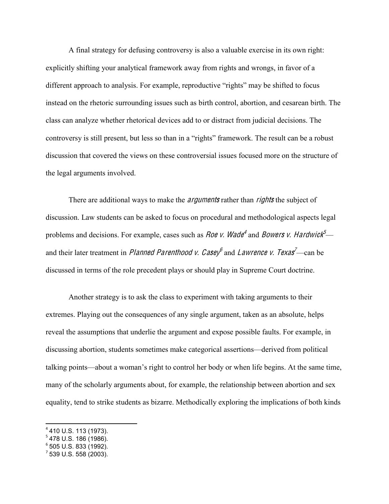A final strategy for defusing controversy is also a valuable exercise in its own right: explicitly shifting your analytical framework away from rights and wrongs, in favor of a different approach to analysis. For example, reproductive "rights" may be shifted to focus instead on the rhetoric surrounding issues such as birth control, abortion, and cesarean birth. The class can analyze whether rhetorical devices add to or distract from judicial decisions. The controversy is still present, but less so than in a "rights" framework. The result can be a robust discussion that covered the views on these controversial issues focused more on the structure of the legal arguments involved.

There are additional ways to make the *arguments* rather than *rights* the subject of discussion. Law students can be asked to focus on procedural and methodological aspects legal problems and decisions. For example, cases such as *Roe v. Wade*<sup>4</sup> and *Bowers v. Hardwick*<sup>5</sup> and their later treatment in *Planned Parenthood v. Casey* and *Lawrence v. Texas*<sup>7</sup>—can be discussed in terms of the role precedent plays or should play in Supreme Court doctrine.

Another strategy is to ask the class to experiment with taking arguments to their extremes. Playing out the consequences of any single argument, taken as an absolute, helps reveal the assumptions that underlie the argument and expose possible faults. For example, in discussing abortion, students sometimes make categorical assertions—derived from political talking points—about a woman's right to control her body or when life begins. At the same time, many of the scholarly arguments about, for example, the relationship between abortion and sex equality, tend to strike students as bizarre. Methodically exploring the implications of both kinds

 <sup>4</sup> 410 U.S. 113 (1973).

<sup>5</sup> 478 U.S. 186 (1986).

 $6$  505 U.S. 833 (1992).

 $7$  539 U.S. 558 (2003).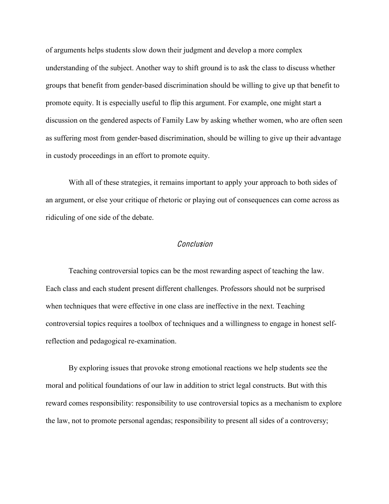of arguments helps students slow down their judgment and develop a more complex understanding of the subject. Another way to shift ground is to ask the class to discuss whether groups that benefit from gender-based discrimination should be willing to give up that benefit to promote equity. It is especially useful to flip this argument. For example, one might start a discussion on the gendered aspects of Family Law by asking whether women, who are often seen as suffering most from gender-based discrimination, should be willing to give up their advantage in custody proceedings in an effort to promote equity.

With all of these strategies, it remains important to apply your approach to both sides of an argument, or else your critique of rhetoric or playing out of consequences can come across as ridiculing of one side of the debate.

#### Conclusion

Teaching controversial topics can be the most rewarding aspect of teaching the law. Each class and each student present different challenges. Professors should not be surprised when techniques that were effective in one class are ineffective in the next. Teaching controversial topics requires a toolbox of techniques and a willingness to engage in honest selfreflection and pedagogical re-examination.

By exploring issues that provoke strong emotional reactions we help students see the moral and political foundations of our law in addition to strict legal constructs. But with this reward comes responsibility: responsibility to use controversial topics as a mechanism to explore the law, not to promote personal agendas; responsibility to present all sides of a controversy;